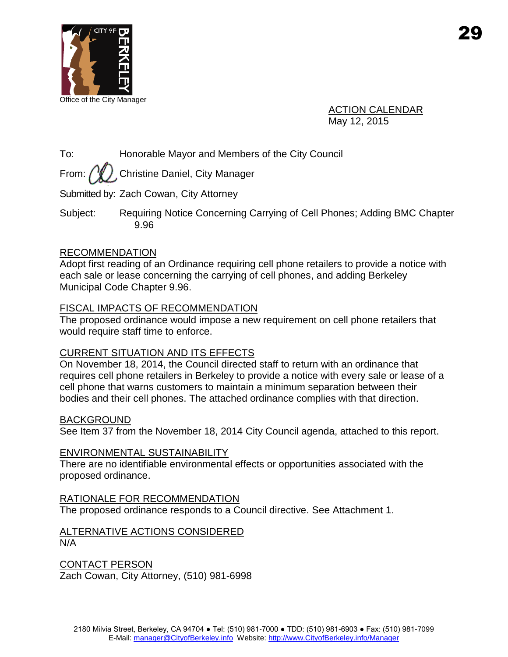

ACTION CALENDAR May 12, 2015

To: Honorable Mayor and Members of the City Council

From:  $\sqrt{\frac{w}{L}}$  Christine Daniel, City Manager

Submitted by: Zach Cowan, City Attorney

Subject: Requiring Notice Concerning Carrying of Cell Phones; Adding BMC Chapter 9.96

## RECOMMENDATION

Adopt first reading of an Ordinance requiring cell phone retailers to provide a notice with each sale or lease concerning the carrying of cell phones, and adding Berkeley Municipal Code Chapter 9.96.

## FISCAL IMPACTS OF RECOMMENDATION

The proposed ordinance would impose a new requirement on cell phone retailers that would require staff time to enforce.

## CURRENT SITUATION AND ITS EFFECTS

On November 18, 2014, the Council directed staff to return with an ordinance that requires cell phone retailers in Berkeley to provide a notice with every sale or lease of a cell phone that warns customers to maintain a minimum separation between their bodies and their cell phones. The attached ordinance complies with that direction.

## BACKGROUND

See Item 37 from the November 18, 2014 City Council agenda, attached to this report.

## ENVIRONMENTAL SUSTAINABILITY

There are no identifiable environmental effects or opportunities associated with the proposed ordinance.

## RATIONALE FOR RECOMMENDATION

The proposed ordinance responds to a Council directive. See Attachment 1.

#### ALTERNATIVE ACTIONS CONSIDERED N/A

CONTACT PERSON Zach Cowan, City Attorney, (510) 981-6998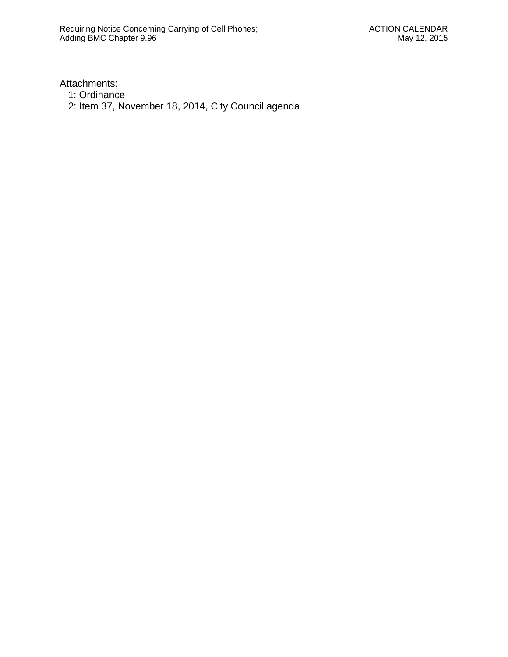Attachments:

- 1: Ordinance
- 2: Item 37, November 18, 2014, City Council agenda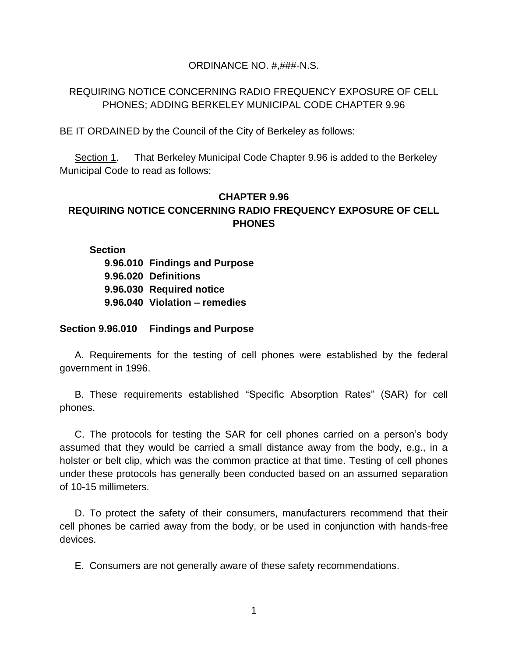#### ORDINANCE NO. #,###-N.S.

## REQUIRING NOTICE CONCERNING RADIO FREQUENCY EXPOSURE OF CELL PHONES; ADDING BERKELEY MUNICIPAL CODE CHAPTER 9.96

BE IT ORDAINED by the Council of the City of Berkeley as follows:

Section 1. That Berkeley Municipal Code Chapter 9.96 is added to the Berkeley Municipal Code to read as follows:

# **CHAPTER 9.96 REQUIRING NOTICE CONCERNING RADIO FREQUENCY EXPOSURE OF CELL PHONES**

**Section 9.96.010 Findings and Purpose 9.96.020 Definitions 9.96.030 Required notice 9.96.040 Violation – remedies**

**Section 9.96.010 Findings and Purpose**

A. Requirements for the testing of cell phones were established by the federal government in 1996.

B. These requirements established "Specific Absorption Rates" (SAR) for cell phones.

C. The protocols for testing the SAR for cell phones carried on a person's body assumed that they would be carried a small distance away from the body, e.g., in a holster or belt clip, which was the common practice at that time. Testing of cell phones under these protocols has generally been conducted based on an assumed separation of 10-15 millimeters.

D. To protect the safety of their consumers, manufacturers recommend that their cell phones be carried away from the body, or be used in conjunction with hands-free devices.

E. Consumers are not generally aware of these safety recommendations.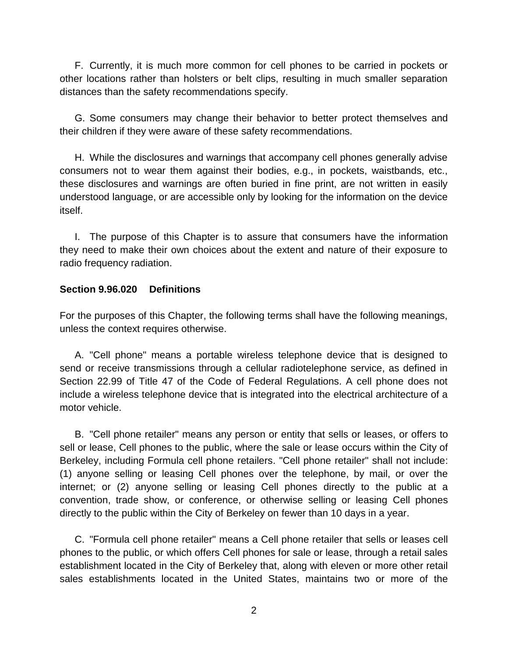F. Currently, it is much more common for cell phones to be carried in pockets or other locations rather than holsters or belt clips, resulting in much smaller separation distances than the safety recommendations specify.

G. Some consumers may change their behavior to better protect themselves and their children if they were aware of these safety recommendations.

H. While the disclosures and warnings that accompany cell phones generally advise consumers not to wear them against their bodies, e.g., in pockets, waistbands, etc., these disclosures and warnings are often buried in fine print, are not written in easily understood language, or are accessible only by looking for the information on the device itself.

I. The purpose of this Chapter is to assure that consumers have the information they need to make their own choices about the extent and nature of their exposure to radio frequency radiation.

### **Section 9.96.020 Definitions**

For the purposes of this Chapter, the following terms shall have the following meanings, unless the context requires otherwise.

A. "Cell phone" means a portable wireless telephone device that is designed to send or receive transmissions through a cellular radiotelephone service, as defined in Section 22.99 of Title 47 of the Code of Federal Regulations. A cell phone does not include a wireless telephone device that is integrated into the electrical architecture of a motor vehicle.

B. "Cell phone retailer" means any person or entity that sells or leases, or offers to sell or lease, Cell phones to the public, where the sale or lease occurs within the City of Berkeley, including Formula cell phone retailers. "Cell phone retailer" shall not include: (1) anyone selling or leasing Cell phones over the telephone, by mail, or over the internet; or (2) anyone selling or leasing Cell phones directly to the public at a convention, trade show, or conference, or otherwise selling or leasing Cell phones directly to the public within the City of Berkeley on fewer than 10 days in a year.

C. "Formula cell phone retailer" means a Cell phone retailer that sells or leases cell phones to the public, or which offers Cell phones for sale or lease, through a retail sales establishment located in the City of Berkeley that, along with eleven or more other retail sales establishments located in the United States, maintains two or more of the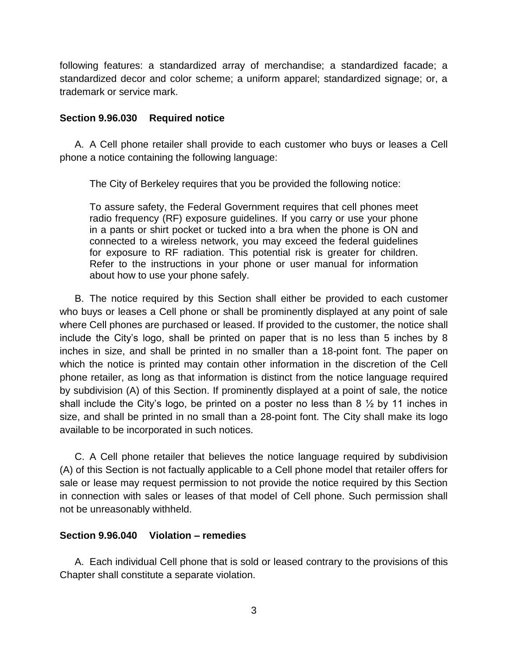following features: a standardized array of merchandise; a standardized facade; a standardized decor and color scheme; a uniform apparel; standardized signage; or, a trademark or service mark.

#### **Section 9.96.030 Required notice**

A. A Cell phone retailer shall provide to each customer who buys or leases a Cell phone a notice containing the following language:

The City of Berkeley requires that you be provided the following notice:

To assure safety, the Federal Government requires that cell phones meet radio frequency (RF) exposure guidelines. If you carry or use your phone in a pants or shirt pocket or tucked into a bra when the phone is ON and connected to a wireless network, you may exceed the federal guidelines for exposure to RF radiation. This potential risk is greater for children. Refer to the instructions in your phone or user manual for information about how to use your phone safely.

B. The notice required by this Section shall either be provided to each customer who buys or leases a Cell phone or shall be prominently displayed at any point of sale where Cell phones are purchased or leased. If provided to the customer, the notice shall include the City's logo, shall be printed on paper that is no less than 5 inches by 8 inches in size, and shall be printed in no smaller than a 18-point font. The paper on which the notice is printed may contain other information in the discretion of the Cell phone retailer, as long as that information is distinct from the notice language required by subdivision (A) of this Section. If prominently displayed at a point of sale, the notice shall include the City's logo, be printed on a poster no less than 8  $\frac{1}{2}$  by 11 inches in size, and shall be printed in no small than a 28-point font. The City shall make its logo available to be incorporated in such notices.

C. A Cell phone retailer that believes the notice language required by subdivision (A) of this Section is not factually applicable to a Cell phone model that retailer offers for sale or lease may request permission to not provide the notice required by this Section in connection with sales or leases of that model of Cell phone. Such permission shall not be unreasonably withheld.

## **Section 9.96.040 Violation – remedies**

A. Each individual Cell phone that is sold or leased contrary to the provisions of this Chapter shall constitute a separate violation.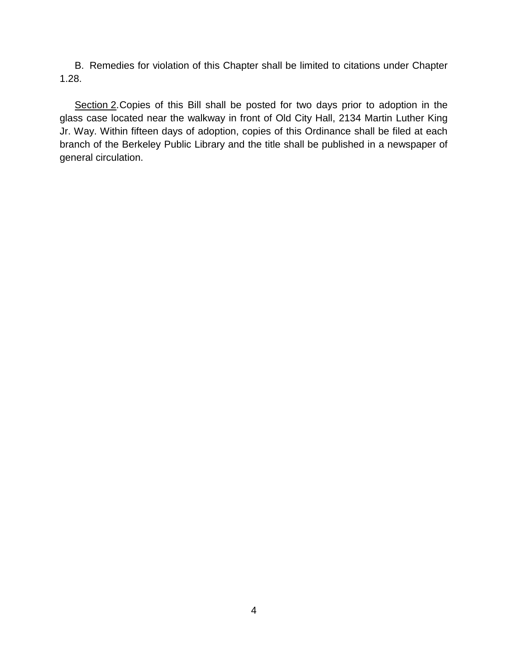B. Remedies for violation of this Chapter shall be limited to citations under Chapter 1.28.

Section 2. Copies of this Bill shall be posted for two days prior to adoption in the glass case located near the walkway in front of Old City Hall, 2134 Martin Luther King Jr. Way. Within fifteen days of adoption, copies of this Ordinance shall be filed at each branch of the Berkeley Public Library and the title shall be published in a newspaper of general circulation.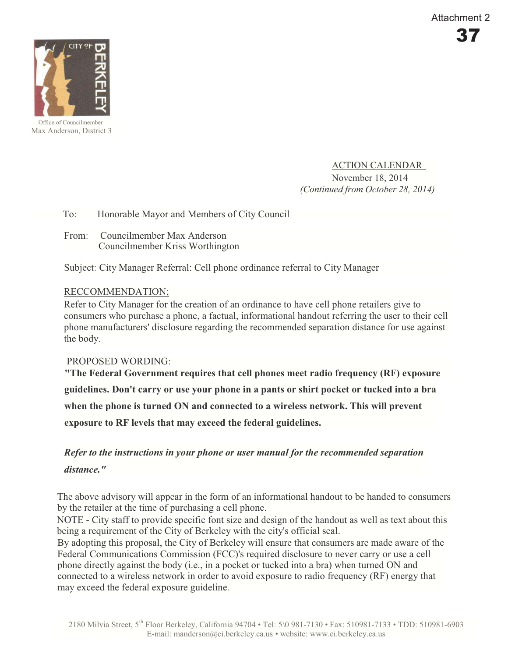

Max Anderson, District 3

ACTION CALENDAR November 18, 2014 *(Continued from October 28, 2014)* 

#### To: Honorable Mayor and Members of City Council

From: Councilmember Max Anderson Councilmember Kriss Worthington

Subject: City Manager Referral: Cell phone ordinance referral to City Manager

#### RECCOMMENDATION;

Refer to City Manager for the creation of an ordinance to have cell phone retailers give to consumers who purchase a phone, a factual, informational handout referring the user to their cell phone manufacturers' disclosure regarding the recommended separation distance for use against the body.

#### PROPOSED WORDING:

**"The Federal Government requires that cell phones meet radio frequency (RF) exposure guidelines. Don't carry or use your phone in a pants or shirt pocket or tucked into a bra when the phone is turned ON and connected to a wireless network. This will prevent exposure to RF levels that may exceed the federal guidelines.** 

# *Refer to the instructions in your phone or user manual for the recommended separation distance."*

The above advisory will appear in the form of an informational handout to be handed to consumers by the retailer at the time of purchasing a cell phone.

NOTE - City staff to provide specific font size and design of the handout as well as text about this being a requirement of the City of Berkeley with the city's official seal.

By adopting this proposal, the City of Berkeley will ensure that consumers are made aware of the Federal Communications Commission (FCC)'s required disclosure to never carry or use a cell phone directly against the body (i.e., in a pocket or tucked into a bra) when turned ON and connected to a wireless network in order to avoid exposure to radio frequency (RF) energy that may exceed the federal exposure guideline.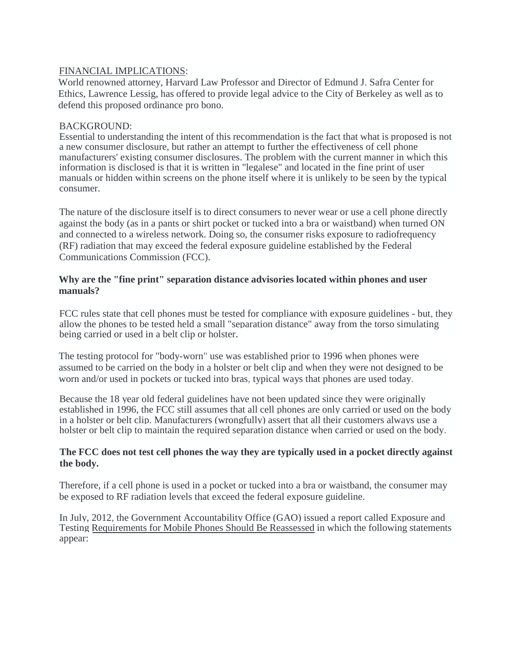#### FINANCIAL IMPLICATIONS:

World renowned attorney, Harvard Law Professor and Director of Edmund J. Safra Center for Ethics, Lawrence Lessig, has offered to provide legal advice to the City of Berkeley as well as to defend this proposed ordinance pro bono.

#### BACKGROUND:

Essential to understanding the intent of this recommendation is the fact that what is proposed is not a new consumer disclosure, but rather an attempt to further the effectiveness of cell phone manufacturers' existing consumer disclosures. The problem with the current manner in which this information is disclosed is that it is written in "legalese" and located in the fine print of user manuals or hidden within screens on the phone itself where it is unlikely to be seen by the typical consumer.

The nature of the disclosure itself is to direct consumers to never wear or use a cell phone directly against the body (as in a pants or shirt pocket or tucked into a bra or waistband) when turned ON and connected to a wireless network. Doing so, the consumer risks exposure to radiofrequency (RF) radiation that may exceed the federal exposure guideline established by the Federal Communications Commission (FCC).

#### **Why are the "fine print" separation distance advisories located within phones and user manuals?**

FCC rules state that cell phones must be tested for compliance with exposure guidelines - but, they allow the phones to be tested held a small "separation distance" away from the torso simulating being carried or used in a belt clip or holster.

The testing protocol for "body-worn" use was established prior to 1996 when phones were assumed to be carried on the body in a holster or belt clip and when they were not designed to be worn and/or used in pockets or tucked into bras, typical ways that phones are used today.

Because the 18 year old federal guidelines have not been updated since they were originally established in 1996, the FCC still assumes that all cell phones are only carried or used on the body in a holster or belt clip. Manufacturers (wrongfully) assert that all their customers always use a holster or belt clip to maintain the required separation distance when carried or used on the body.

#### **The FCC does not test cell phones the way they are typically used in a pocket directly against the body.**

Therefore, if a cell phone is used in a pocket or tucked into a bra or waistband, the consumer may be exposed to RF radiation levels that exceed the federal exposure guideline.

In July, 2012, the Government Accountability Office (GAO) issued a report called Exposure and Testing Requirements for Mobile Phones Should Be Reassessed in which the following statements appear: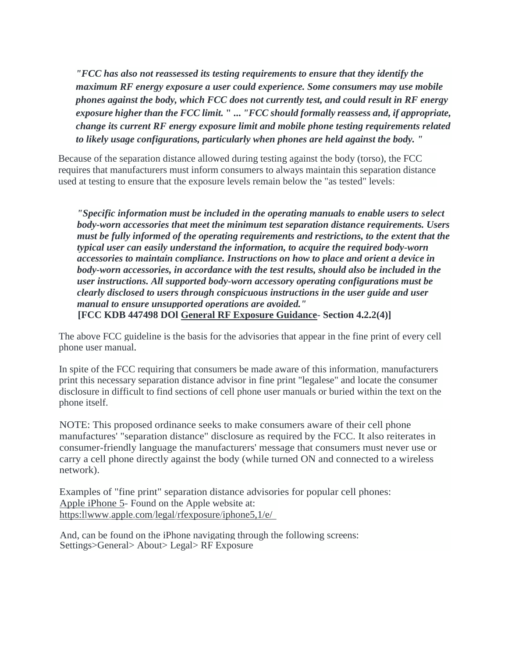*"FCC has also not reassessed its testing requirements to ensure that they identify the maximum RF energy exposure a user could experience. Some consumers may use mobile phones against the body, which FCC does not currently test, and could result in RF energy exposure higher than the FCC limit.* **" ...** *"FCC should formally reassess and, if appropriate, change its current RF energy exposure limit and mobile phone testing requirements related to likely usage configurations, particularly when phones are held against the body. "* 

Because of the separation distance allowed during testing against the body (torso), the FCC requires that manufacturers must inform consumers to always maintain this separation distance used at testing to ensure that the exposure levels remain below the "as tested" levels:

*"Specific information must be included in the operating manuals to enable users to select body-worn accessories that meet the minimum test separation distance requirements. Users must be fully informed of the operating requirements and restrictions, to the extent that the typical user can easily understand the information, to acquire the required body-worn accessories to maintain compliance. Instructions on how to place and orient a device in body-worn accessories, in accordance with the test results, should also be included in the user instructions. All supported body-worn accessory operating configurations must be clearly disclosed to users through conspicuous instructions in the user guide and user manual to ensure unsupported operations are avoided."*  **[FCC KDB 447498 DOl General RF Exposure Guidance- Section 4.2.2(4)]** 

The above FCC guideline is the basis for the advisories that appear in the fine print of every cell phone user manual.

In spite of the FCC requiring that consumers be made aware of this information, manufacturers print this necessary separation distance advisor in fine print "legalese" and locate the consumer disclosure in difficult to find sections of cell phone user manuals or buried within the text on the phone itself.

NOTE: This proposed ordinance seeks to make consumers aware of their cell phone manufactures' "separation distance" disclosure as required by the FCC. It also reiterates in consumer-friendly language the manufacturers' message that consumers must never use or carry a cell phone directly against the body (while turned ON and connected to a wireless network).

Examples of "fine print" separation distance advisories for popular cell phones: Apple iPhone 5- Found on the Apple website at: [https:llwww.apple.com/legal/rfexposure/iphone5,1](http://https:llwww.apple.com/legal/rfexposure/iphone5,)/e/

And, can be found on the iPhone navigating through the following screens: Settings>General> About> Legal> RF Exposure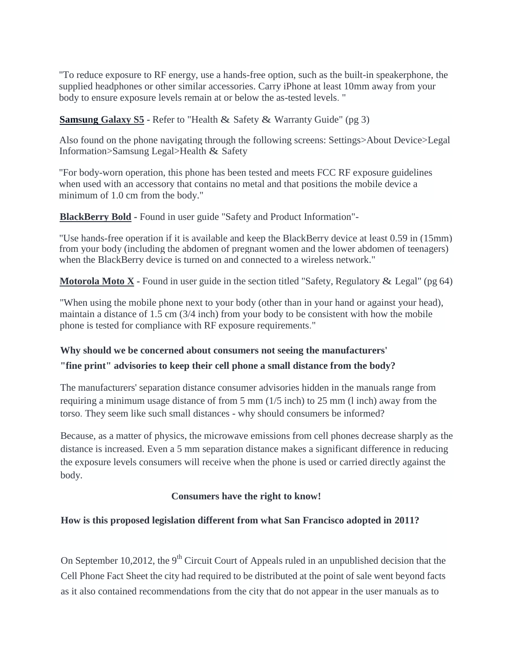"To reduce exposure to RF energy, use a hands-free option, such as the built-in speakerphone, the supplied headphones or other similar accessories. Carry iPhone at least 10mm away from your body to ensure exposure levels remain at or below the as-tested levels. "

**Samsung Galaxy S5 -** Refer to "Health & Safety & Warranty Guide" (pg 3)

Also found on the phone navigating through the following screens: Settings>About Device>Legal Information>Samsung Legal>Health & Safety

"For body-worn operation, this phone has been tested and meets FCC RF exposure guidelines when used with an accessory that contains no metal and that positions the mobile device a minimum of 1.0 cm from the body."

**BlackBerry Bold -** Found in user guide "Safety and Product Information"-

"Use hands-free operation if it is available and keep the BlackBerry device at least 0.59 in (15mm) from your body (including the abdomen of pregnant women and the lower abdomen of teenagers) when the BlackBerry device is turned on and connected to a wireless network."

**Motorola Moto X -** Found in user guide in the section titled "Safety, Regulatory & Legal" ( $pg 64$ )

"When using the mobile phone next to your body (other than in your hand or against your head), maintain a distance of 1.5 cm (3/4 inch) from your body to be consistent with how the mobile phone is tested for compliance with RF exposure requirements."

#### **Why should we be concerned about consumers not seeing the manufacturers'**

#### **"fine print" advisories to keep their cell phone a small distance from the body?**

The manufacturers' separation distance consumer advisories hidden in the manuals range from requiring a minimum usage distance of from 5 mm (1/5 inch) to 25 mm (l inch) away from the torso. They seem like such small distances - why should consumers be informed?

Because, as a matter of physics, the microwave emissions from cell phones decrease sharply as the distance is increased. Even a 5 mm separation distance makes a significant difference in reducing the exposure levels consumers will receive when the phone is used or carried directly against the body.

#### **Consumers have the right to know!**

#### **How is this proposed legislation different from what San Francisco adopted in 2011?**

On September 10,2012, the  $9<sup>th</sup>$  Circuit Court of Appeals ruled in an unpublished decision that the Cell Phone Fact Sheet the city had required to be distributed at the point of sale went beyond facts as it also contained recommendations from the city that do not appear in the user manuals as to